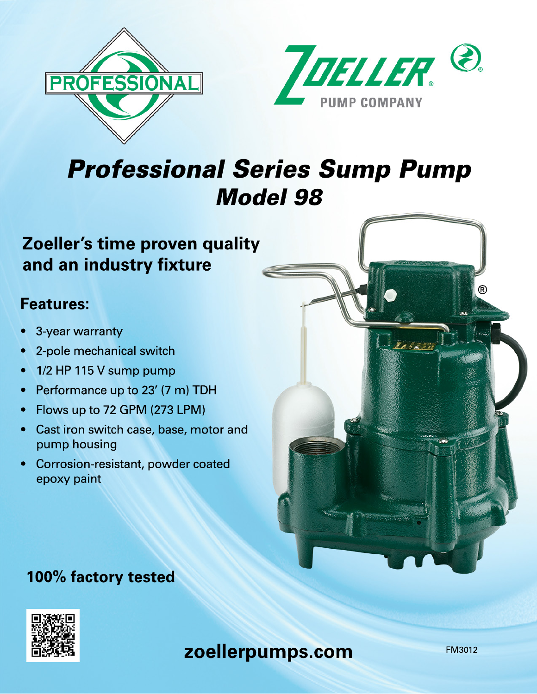



# Professional Series Sump Pump Model 98

## **Zoeller's time proven quality and an industry fixture**

## **Features:**

- 3-year warranty
- 2-pole mechanical switch
- 1/2 HP 115 V sump pump
- Performance up to 23' (7 m) TDH
- Flows up to 72 GPM (273 LPM)
- Cast iron switch case, base, motor and pump housing
- Corrosion-resistant, powder coated epoxy paint

# ®

## **100% factory tested**



FM3012